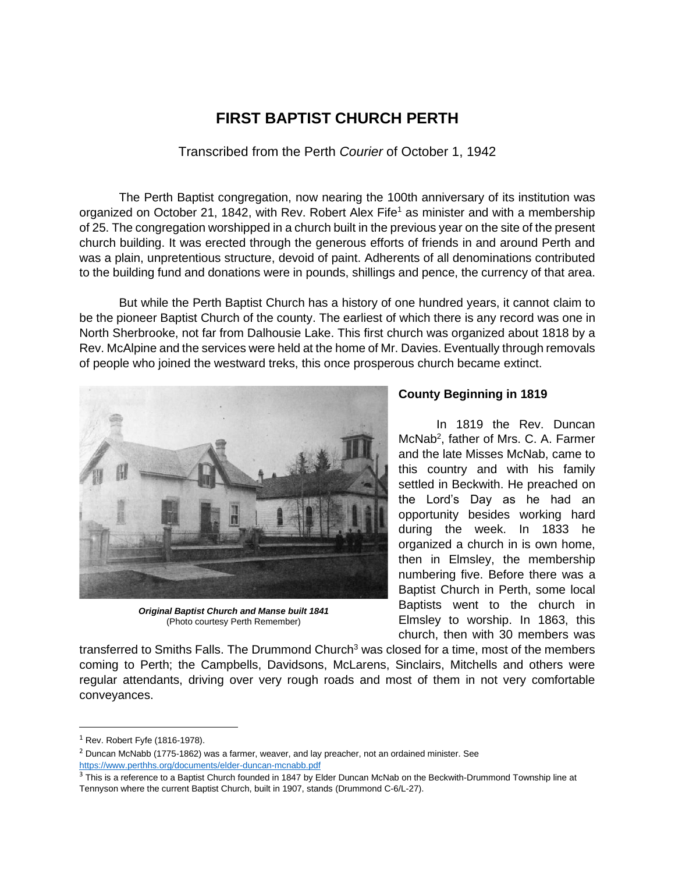# **FIRST BAPTIST CHURCH PERTH**

Transcribed from the Perth *Courier* of October 1, 1942

The Perth Baptist congregation, now nearing the 100th anniversary of its institution was organized on October 21, 1842, with Rev. Robert Alex Fife<sup>1</sup> as minister and with a membership of 25. The congregation worshipped in a church built in the previous year on the site of the present church building. It was erected through the generous efforts of friends in and around Perth and was a plain, unpretentious structure, devoid of paint. Adherents of all denominations contributed to the building fund and donations were in pounds, shillings and pence, the currency of that area.

But while the Perth Baptist Church has a history of one hundred years, it cannot claim to be the pioneer Baptist Church of the county. The earliest of which there is any record was one in North Sherbrooke, not far from Dalhousie Lake. This first church was organized about 1818 by a Rev. McAlpine and the services were held at the home of Mr. Davies. Eventually through removals of people who joined the westward treks, this once prosperous church became extinct.



*Original Baptist Church and Manse built 1841* (Photo courtesy Perth Remember)

# **County Beginning in 1819**

In 1819 the Rev. Duncan McNab<sup>2</sup>, father of Mrs. C. A. Farmer and the late Misses McNab, came to this country and with his family settled in Beckwith. He preached on the Lord's Day as he had an opportunity besides working hard during the week. In 1833 he organized a church in is own home, then in Elmsley, the membership numbering five. Before there was a Baptist Church in Perth, some local Baptists went to the church in Elmsley to worship. In 1863, this church, then with 30 members was

transferred to Smiths Falls. The Drummond Church<sup>3</sup> was closed for a time, most of the members coming to Perth; the Campbells, Davidsons, McLarens, Sinclairs, Mitchells and others were regular attendants, driving over very rough roads and most of them in not very comfortable conveyances.

 $<sup>1</sup>$  Rev. Robert Fyfe (1816-1978).</sup>

 $<sup>2</sup>$  Duncan McNabb (1775-1862) was a farmer, weaver, and lay preacher, not an ordained minister. See</sup> <https://www.perthhs.org/documents/elder-duncan-mcnabb.pdf>

<sup>&</sup>lt;sup>3</sup> This is a reference to a Baptist Church founded in 1847 by Elder Duncan McNab on the Beckwith-Drummond Township line at Tennyson where the current Baptist Church, built in 1907, stands (Drummond C-6/L-27).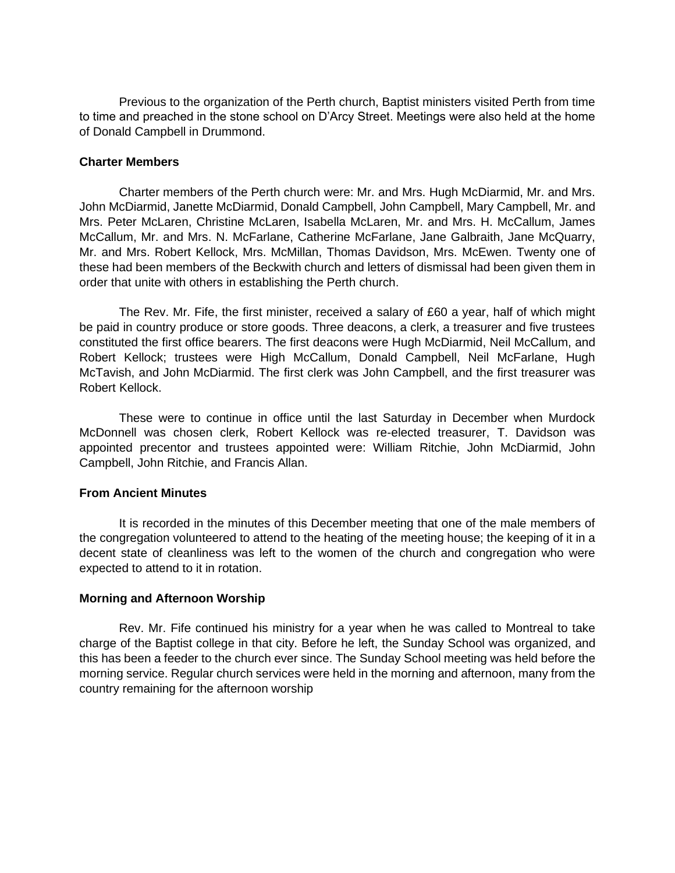Previous to the organization of the Perth church, Baptist ministers visited Perth from time to time and preached in the stone school on D'Arcy Street. Meetings were also held at the home of Donald Campbell in Drummond.

## **Charter Members**

Charter members of the Perth church were: Mr. and Mrs. Hugh McDiarmid, Mr. and Mrs. John McDiarmid, Janette McDiarmid, Donald Campbell, John Campbell, Mary Campbell, Mr. and Mrs. Peter McLaren, Christine McLaren, Isabella McLaren, Mr. and Mrs. H. McCallum, James McCallum, Mr. and Mrs. N. McFarlane, Catherine McFarlane, Jane Galbraith, Jane McQuarry, Mr. and Mrs. Robert Kellock, Mrs. McMillan, Thomas Davidson, Mrs. McEwen. Twenty one of these had been members of the Beckwith church and letters of dismissal had been given them in order that unite with others in establishing the Perth church.

The Rev. Mr. Fife, the first minister, received a salary of £60 a year, half of which might be paid in country produce or store goods. Three deacons, a clerk, a treasurer and five trustees constituted the first office bearers. The first deacons were Hugh McDiarmid, Neil McCallum, and Robert Kellock; trustees were High McCallum, Donald Campbell, Neil McFarlane, Hugh McTavish, and John McDiarmid. The first clerk was John Campbell, and the first treasurer was Robert Kellock.

These were to continue in office until the last Saturday in December when Murdock McDonnell was chosen clerk, Robert Kellock was re-elected treasurer, T. Davidson was appointed precentor and trustees appointed were: William Ritchie, John McDiarmid, John Campbell, John Ritchie, and Francis Allan.

### **From Ancient Minutes**

It is recorded in the minutes of this December meeting that one of the male members of the congregation volunteered to attend to the heating of the meeting house; the keeping of it in a decent state of cleanliness was left to the women of the church and congregation who were expected to attend to it in rotation.

# **Morning and Afternoon Worship**

Rev. Mr. Fife continued his ministry for a year when he was called to Montreal to take charge of the Baptist college in that city. Before he left, the Sunday School was organized, and this has been a feeder to the church ever since. The Sunday School meeting was held before the morning service. Regular church services were held in the morning and afternoon, many from the country remaining for the afternoon worship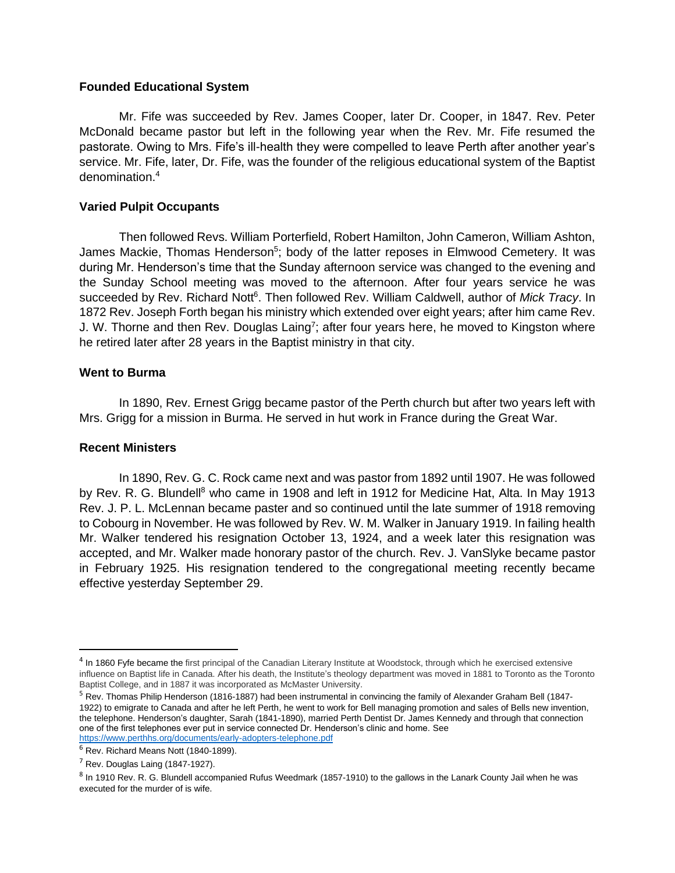### **Founded Educational System**

Mr. Fife was succeeded by Rev. James Cooper, later Dr. Cooper, in 1847. Rev. Peter McDonald became pastor but left in the following year when the Rev. Mr. Fife resumed the pastorate. Owing to Mrs. Fife's ill-health they were compelled to leave Perth after another year's service. Mr. Fife, later, Dr. Fife, was the founder of the religious educational system of the Baptist denomination.<sup>4</sup>

# **Varied Pulpit Occupants**

Then followed Revs. William Porterfield, Robert Hamilton, John Cameron, William Ashton, James Mackie, Thomas Henderson<sup>5</sup>; body of the latter reposes in Elmwood Cemetery. It was during Mr. Henderson's time that the Sunday afternoon service was changed to the evening and the Sunday School meeting was moved to the afternoon. After four years service he was succeeded by Rev. Richard Nott<sup>6</sup>. Then followed Rev. William Caldwell, author of *Mick Tracy*. In 1872 Rev. Joseph Forth began his ministry which extended over eight years; after him came Rev. J. W. Thorne and then Rev. Douglas Laing<sup>7</sup>; after four years here, he moved to Kingston where he retired later after 28 years in the Baptist ministry in that city.

# **Went to Burma**

In 1890, Rev. Ernest Grigg became pastor of the Perth church but after two years left with Mrs. Grigg for a mission in Burma. He served in hut work in France during the Great War.

### **Recent Ministers**

In 1890, Rev. G. C. Rock came next and was pastor from 1892 until 1907. He was followed by Rev. R. G. Blundell<sup>8</sup> who came in 1908 and left in 1912 for Medicine Hat, Alta. In May 1913 Rev. J. P. L. McLennan became paster and so continued until the late summer of 1918 removing to Cobourg in November. He was followed by Rev. W. M. Walker in January 1919. In failing health Mr. Walker tendered his resignation October 13, 1924, and a week later this resignation was accepted, and Mr. Walker made honorary pastor of the church. Rev. J. VanSlyke became pastor in February 1925. His resignation tendered to the congregational meeting recently became effective yesterday September 29.

<sup>&</sup>lt;sup>4</sup> In 1860 Fyfe became the first principal of the Canadian Literary Institute at Woodstock, through which he exercised extensive influence on Baptist life in Canada. After his death, the Institute's theology department was moved in 1881 to Toronto as the Toronto Baptist College, and in 1887 it was incorporated as McMaster University.

<sup>&</sup>lt;sup>5</sup> Rev. Thomas Philip Henderson (1816-1887) had been instrumental in convincing the family of Alexander Graham Bell (1847-1922) to emigrate to Canada and after he left Perth, he went to work for Bell managing promotion and sales of Bells new invention, the telephone. Henderson's daughter, Sarah (1841-1890), married Perth Dentist Dr. James Kennedy and through that connection one of the first telephones ever put in service connected Dr. Henderson's clinic and home. See <https://www.perthhs.org/documents/early-adopters-telephone.pdf>

 $<sup>6</sup>$  Rev. Richard Means Nott (1840-1899).</sup>

 $<sup>7</sup>$  Rev. Douglas Laing (1847-1927).</sup>

<sup>&</sup>lt;sup>8</sup> In 1910 Rev. R. G. Blundell accompanied Rufus Weedmark (1857-1910) to the gallows in the Lanark County Jail when he was executed for the murder of is wife.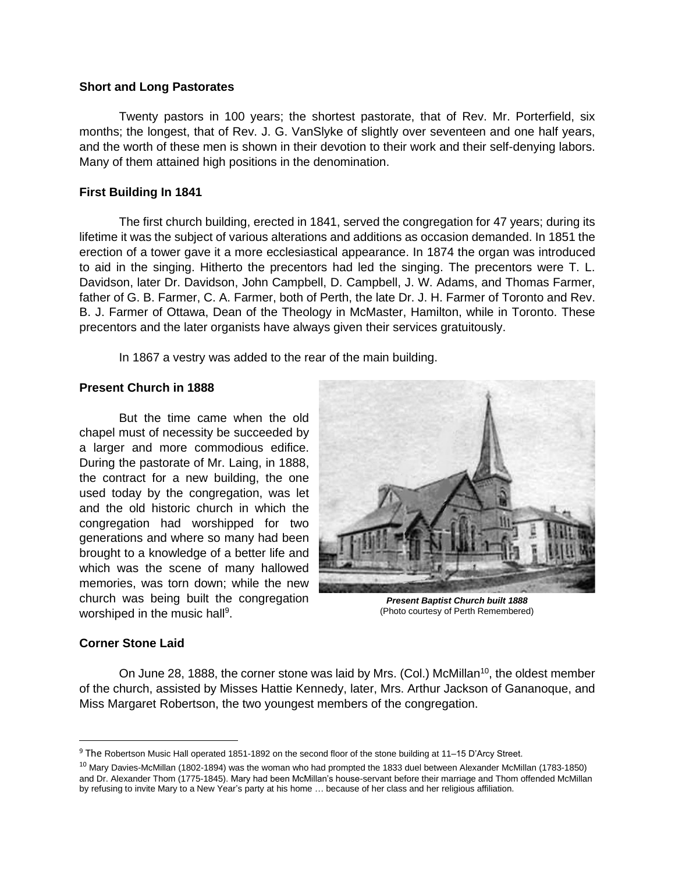### **Short and Long Pastorates**

Twenty pastors in 100 years; the shortest pastorate, that of Rev. Mr. Porterfield, six months; the longest, that of Rev. J. G. VanSlyke of slightly over seventeen and one half years, and the worth of these men is shown in their devotion to their work and their self-denying labors. Many of them attained high positions in the denomination.

## **First Building In 1841**

The first church building, erected in 1841, served the congregation for 47 years; during its lifetime it was the subject of various alterations and additions as occasion demanded. In 1851 the erection of a tower gave it a more ecclesiastical appearance. In 1874 the organ was introduced to aid in the singing. Hitherto the precentors had led the singing. The precentors were T. L. Davidson, later Dr. Davidson, John Campbell, D. Campbell, J. W. Adams, and Thomas Farmer, father of G. B. Farmer, C. A. Farmer, both of Perth, the late Dr. J. H. Farmer of Toronto and Rev. B. J. Farmer of Ottawa, Dean of the Theology in McMaster, Hamilton, while in Toronto. These precentors and the later organists have always given their services gratuitously.

In 1867 a vestry was added to the rear of the main building.

### **Present Church in 1888**

But the time came when the old chapel must of necessity be succeeded by a larger and more commodious edifice. During the pastorate of Mr. Laing, in 1888, the contract for a new building, the one used today by the congregation, was let and the old historic church in which the congregation had worshipped for two generations and where so many had been brought to a knowledge of a better life and which was the scene of many hallowed memories, was torn down; while the new church was being built the congregation worshiped in the music hall<sup>9</sup>.



*Present Baptist Church built 1888* (Photo courtesy of Perth Remembered)

### **Corner Stone Laid**

On June 28, 1888, the corner stone was laid by Mrs. (Col.) McMillan<sup>10</sup>, the oldest member of the church, assisted by Misses Hattie Kennedy, later, Mrs. Arthur Jackson of Gananoque, and Miss Margaret Robertson, the two youngest members of the congregation.

<sup>9</sup> The Robertson Music Hall operated 1851-1892 on the second floor of the stone building at 11–15 D'Arcy Street.

<sup>&</sup>lt;sup>10</sup> Mary Davies-McMillan (1802-1894) was the woman who had prompted the 1833 duel between Alexander McMillan (1783-1850) and Dr. Alexander Thom (1775-1845). Mary had been McMillan's house-servant before their marriage and Thom offended McMillan by refusing to invite Mary to a New Year's party at his home … because of her class and her religious affiliation.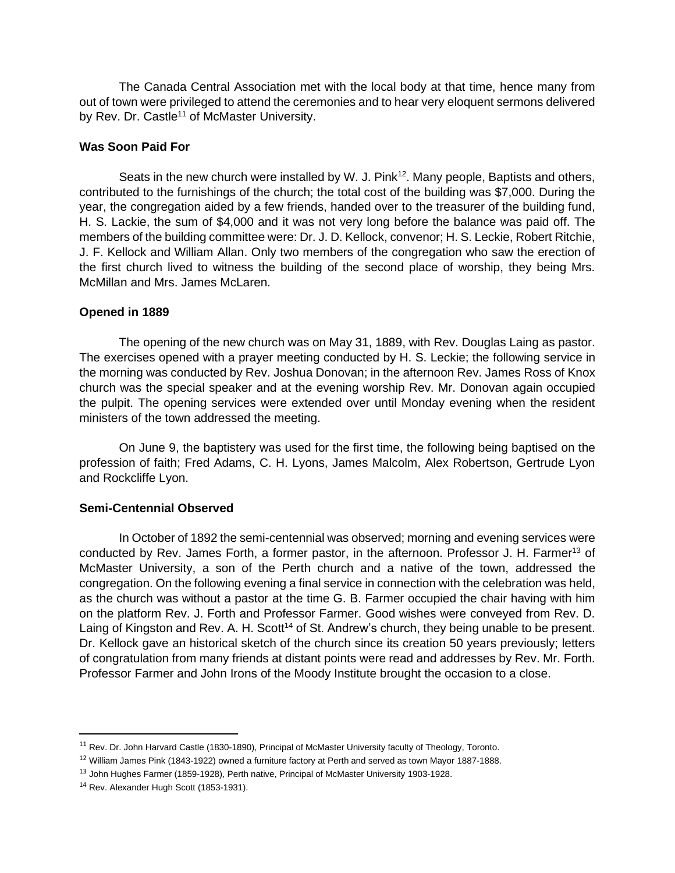The Canada Central Association met with the local body at that time, hence many from out of town were privileged to attend the ceremonies and to hear very eloquent sermons delivered by Rev. Dr. Castle<sup>11</sup> of McMaster University.

# **Was Soon Paid For**

Seats in the new church were installed by W. J. Pink<sup>12</sup>. Many people, Baptists and others, contributed to the furnishings of the church; the total cost of the building was \$7,000. During the year, the congregation aided by a few friends, handed over to the treasurer of the building fund, H. S. Lackie, the sum of \$4,000 and it was not very long before the balance was paid off. The members of the building committee were: Dr. J. D. Kellock, convenor; H. S. Leckie, Robert Ritchie, J. F. Kellock and William Allan. Only two members of the congregation who saw the erection of the first church lived to witness the building of the second place of worship, they being Mrs. McMillan and Mrs. James McLaren.

# **Opened in 1889**

The opening of the new church was on May 31, 1889, with Rev. Douglas Laing as pastor. The exercises opened with a prayer meeting conducted by H. S. Leckie; the following service in the morning was conducted by Rev. Joshua Donovan; in the afternoon Rev. James Ross of Knox church was the special speaker and at the evening worship Rev. Mr. Donovan again occupied the pulpit. The opening services were extended over until Monday evening when the resident ministers of the town addressed the meeting.

On June 9, the baptistery was used for the first time, the following being baptised on the profession of faith; Fred Adams, C. H. Lyons, James Malcolm, Alex Robertson, Gertrude Lyon and Rockcliffe Lyon.

# **Semi-Centennial Observed**

In October of 1892 the semi-centennial was observed; morning and evening services were conducted by Rev. James Forth, a former pastor, in the afternoon. Professor J. H. Farmer<sup>13</sup> of McMaster University, a son of the Perth church and a native of the town, addressed the congregation. On the following evening a final service in connection with the celebration was held, as the church was without a pastor at the time G. B. Farmer occupied the chair having with him on the platform Rev. J. Forth and Professor Farmer. Good wishes were conveyed from Rev. D. Laing of Kingston and Rev. A. H. Scott<sup>14</sup> of St. Andrew's church, they being unable to be present. Dr. Kellock gave an historical sketch of the church since its creation 50 years previously; letters of congratulation from many friends at distant points were read and addresses by Rev. Mr. Forth. Professor Farmer and John Irons of the Moody Institute brought the occasion to a close.

<sup>&</sup>lt;sup>11</sup> Rev. Dr. John Harvard Castle (1830-1890), Principal of McMaster University faculty of Theology, Toronto.

<sup>&</sup>lt;sup>12</sup> William James Pink (1843-1922) owned a furniture factory at Perth and served as town Mayor 1887-1888.

<sup>&</sup>lt;sup>13</sup> John Hughes Farmer (1859-1928), Perth native, Principal of McMaster University 1903-1928.

<sup>&</sup>lt;sup>14</sup> Rev. Alexander Hugh Scott (1853-1931).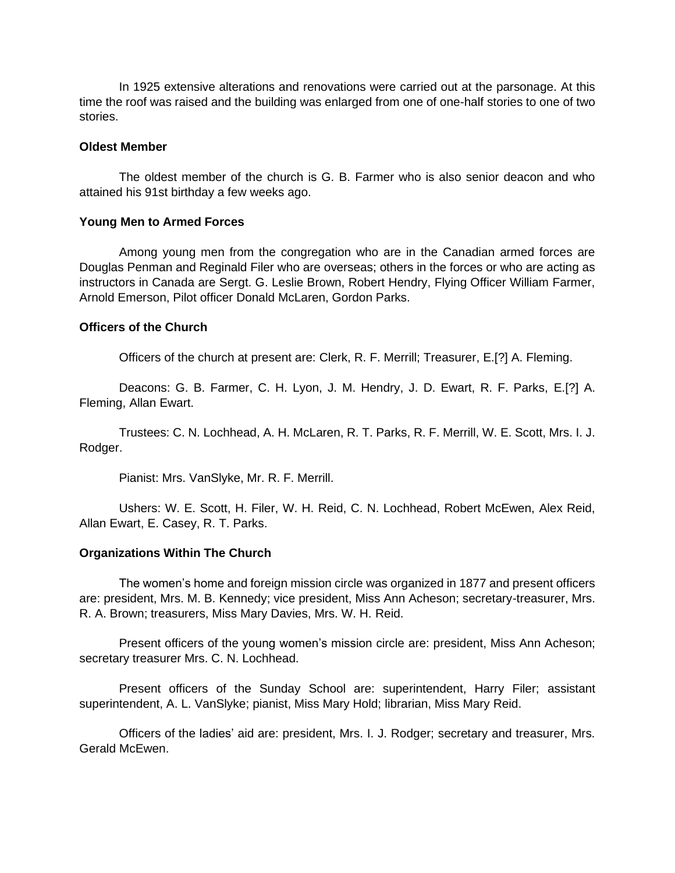In 1925 extensive alterations and renovations were carried out at the parsonage. At this time the roof was raised and the building was enlarged from one of one-half stories to one of two stories.

#### **Oldest Member**

The oldest member of the church is G. B. Farmer who is also senior deacon and who attained his 91st birthday a few weeks ago.

#### **Young Men to Armed Forces**

Among young men from the congregation who are in the Canadian armed forces are Douglas Penman and Reginald Filer who are overseas; others in the forces or who are acting as instructors in Canada are Sergt. G. Leslie Brown, Robert Hendry, Flying Officer William Farmer, Arnold Emerson, Pilot officer Donald McLaren, Gordon Parks.

## **Officers of the Church**

Officers of the church at present are: Clerk, R. F. Merrill; Treasurer, E.[?] A. Fleming.

Deacons: G. B. Farmer, C. H. Lyon, J. M. Hendry, J. D. Ewart, R. F. Parks, E.[?] A. Fleming, Allan Ewart.

Trustees: C. N. Lochhead, A. H. McLaren, R. T. Parks, R. F. Merrill, W. E. Scott, Mrs. I. J. Rodger.

Pianist: Mrs. VanSlyke, Mr. R. F. Merrill.

Ushers: W. E. Scott, H. Filer, W. H. Reid, C. N. Lochhead, Robert McEwen, Alex Reid, Allan Ewart, E. Casey, R. T. Parks.

#### **Organizations Within The Church**

The women's home and foreign mission circle was organized in 1877 and present officers are: president, Mrs. M. B. Kennedy; vice president, Miss Ann Acheson; secretary-treasurer, Mrs. R. A. Brown; treasurers, Miss Mary Davies, Mrs. W. H. Reid.

Present officers of the young women's mission circle are: president, Miss Ann Acheson; secretary treasurer Mrs. C. N. Lochhead.

Present officers of the Sunday School are: superintendent, Harry Filer; assistant superintendent, A. L. VanSlyke; pianist, Miss Mary Hold; librarian, Miss Mary Reid.

Officers of the ladies' aid are: president, Mrs. I. J. Rodger; secretary and treasurer, Mrs. Gerald McEwen.